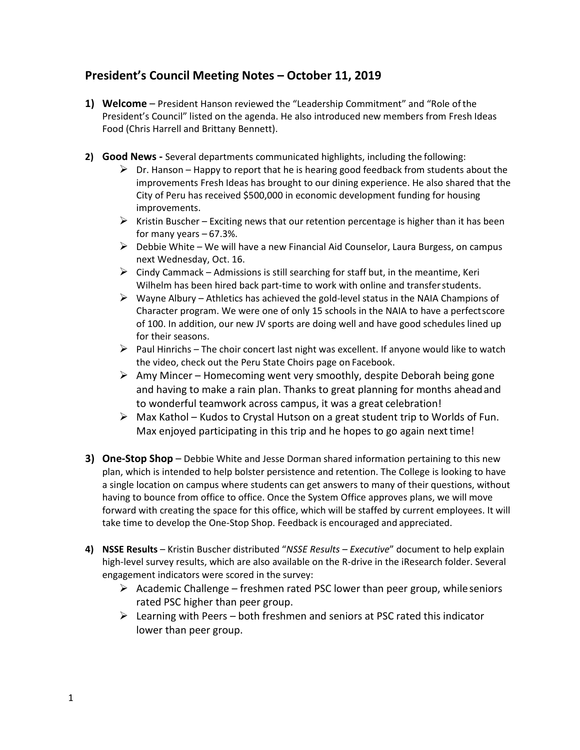## **President's Council Meeting Notes – October 11, 2019**

- **1) Welcome**  President Hanson reviewed the "Leadership Commitment" and "Role ofthe President's Council" listed on the agenda. He also introduced new members from Fresh Ideas Food (Chris Harrell and Brittany Bennett).
- **2) Good News -** Several departments communicated highlights, including the following:
	- $\triangleright$  Dr. Hanson Happy to report that he is hearing good feedback from students about the improvements Fresh Ideas has brought to our dining experience. He also shared that the City of Peru has received \$500,000 in economic development funding for housing improvements.
	- $\triangleright$  Kristin Buscher Exciting news that our retention percentage is higher than it has been for many years  $-67.3\%$ .
	- $\triangleright$  Debbie White We will have a new Financial Aid Counselor, Laura Burgess, on campus next Wednesday, Oct. 16.
	- $\triangleright$  Cindy Cammack Admissions is still searching for staff but, in the meantime, Keri Wilhelm has been hired back part-time to work with online and transferstudents.
	- $\triangleright$  Wayne Albury Athletics has achieved the gold-level status in the NAIA Champions of Character program. We were one of only 15 schools in the NAIA to have a perfectscore of 100. In addition, our new JV sports are doing well and have good schedules lined up for their seasons.
	- $\triangleright$  Paul Hinrichs The choir concert last night was excellent. If anyone would like to watch the video, check out the Peru State Choirs page on Facebook.
	- $\triangleright$  Amy Mincer Homecoming went very smoothly, despite Deborah being gone and having to make a rain plan. Thanks to great planning for months aheadand to wonderful teamwork across campus, it was a great celebration!
	- $\triangleright$  Max Kathol Kudos to Crystal Hutson on a great student trip to Worlds of Fun. Max enjoyed participating in this trip and he hopes to go again next time!
- **3) One-Stop Shop**  Debbie White and Jesse Dorman shared information pertaining to this new plan, which is intended to help bolster persistence and retention. The College is looking to have a single location on campus where students can get answers to many of their questions, without having to bounce from office to office. Once the System Office approves plans, we will move forward with creating the space for this office, which will be staffed by current employees. It will take time to develop the One-Stop Shop. Feedback is encouraged and appreciated.
- **4) NSSE Results** Kristin Buscher distributed "*NSSE Results – Executive*" document to help explain high-level survey results, which are also available on the R-drive in the iResearch folder. Several engagement indicators were scored in the survey:
	- $\triangleright$  Academic Challenge freshmen rated PSC lower than peer group, while seniors rated PSC higher than peer group.
	- $\triangleright$  Learning with Peers both freshmen and seniors at PSC rated this indicator lower than peer group.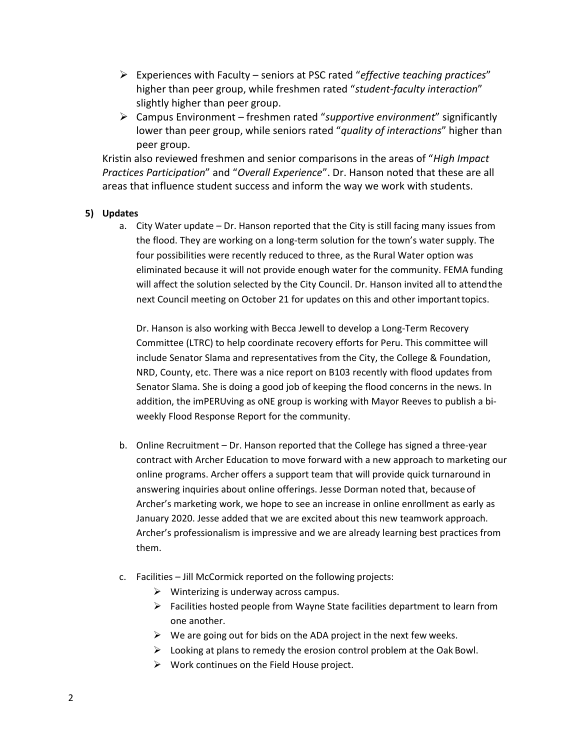- Ø Experiences with Faculty seniors at PSC rated "*effective teaching practices*" higher than peer group, while freshmen rated "*student-faculty interaction*" slightly higher than peer group.
- Ø Campus Environment freshmen rated "*supportive environment*" significantly lower than peer group, while seniors rated "*quality of interactions*" higher than peer group.

Kristin also reviewed freshmen and senior comparisons in the areas of "*High Impact Practices Participation*" and "*Overall Experience*". Dr. Hanson noted that these are all areas that influence student success and inform the way we work with students.

## **5) Updates**

a. City Water update – Dr. Hanson reported that the City is still facing many issues from the flood. They are working on a long-term solution for the town's water supply. The four possibilities were recently reduced to three, as the Rural Water option was eliminated because it will not provide enough water for the community. FEMA funding will affect the solution selected by the City Council. Dr. Hanson invited all to attendthe next Council meeting on October 21 for updates on this and other importanttopics.

Dr. Hanson is also working with Becca Jewell to develop a Long-Term Recovery Committee (LTRC) to help coordinate recovery efforts for Peru. This committee will include Senator Slama and representatives from the City, the College & Foundation, NRD, County, etc. There was a nice report on B103 recently with flood updates from Senator Slama. She is doing a good job of keeping the flood concerns in the news. In addition, the imPERUving as oNE group is working with Mayor Reeves to publish a biweekly Flood Response Report for the community.

- b. Online Recruitment Dr. Hanson reported that the College has signed a three-year contract with Archer Education to move forward with a new approach to marketing our online programs. Archer offers a support team that will provide quick turnaround in answering inquiries about online offerings. Jesse Dorman noted that, because of Archer's marketing work, we hope to see an increase in online enrollment as early as January 2020. Jesse added that we are excited about this new teamwork approach. Archer's professionalism is impressive and we are already learning best practices from them.
- c. Facilities Jill McCormick reported on the following projects:
	- $\triangleright$  Winterizing is underway across campus.
	- $\triangleright$  Facilities hosted people from Wayne State facilities department to learn from one another.
	- $\triangleright$  We are going out for bids on the ADA project in the next few weeks.
	- $\triangleright$  Looking at plans to remedy the erosion control problem at the Oak Bowl.
	- $\triangleright$  Work continues on the Field House project.